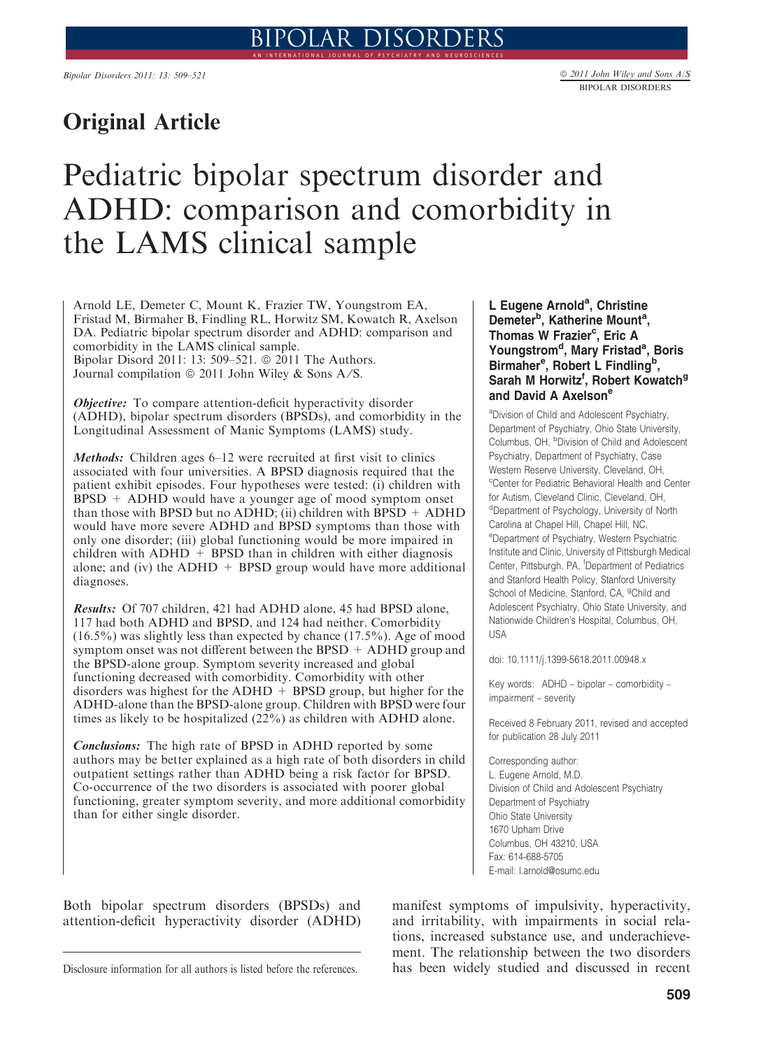# Original Article

# Pediatric bipolar spectrum disorder and ADHD: comparison and comorbidity in the LAMS clinical sample

Arnold LE, Demeter C, Mount K, Frazier TW, Youngstrom EA, Fristad M, Birmaher B, Findling RL, Horwitz SM, Kowatch R, Axelson DA. Pediatric bipolar spectrum disorder and ADHD: comparison and comorbidity in the LAMS clinical sample. Bipolar Disord 2011: 13:  $509-521$ .  $\odot$  2011 The Authors. Journal compilation  $\odot$  2011 John Wiley & Sons A/S.

**Objective:** To compare attention-deficit hyperactivity disorder (ADHD), bipolar spectrum disorders (BPSDs), and comorbidity in the Longitudinal Assessment of Manic Symptoms (LAMS) study.

Methods: Children ages 6–12 were recruited at first visit to clinics associated with four universities. A BPSD diagnosis required that the patient exhibit episodes. Four hypotheses were tested: (i) children with BPSD + ADHD would have a younger age of mood symptom onset than those with BPSD but no ADHD; (ii) children with BPSD  $+$  ADHD would have more severe ADHD and BPSD symptoms than those with only one disorder; (iii) global functioning would be more impaired in children with  $ADHD + BPSD$  than in children with either diagnosis alone; and (iv) the  $ADHD + BPSD$  group would have more additional diagnoses.

Results: Of 707 children, 421 had ADHD alone, 45 had BPSD alone, 117 had both ADHD and BPSD, and 124 had neither. Comorbidity  $(16.5\%)$  was slightly less than expected by chance  $(17.5\%)$ . Age of mood symptom onset was not different between the BPSD + ADHD group and the BPSD-alone group. Symptom severity increased and global functioning decreased with comorbidity. Comorbidity with other disorders was highest for the  $ADHD + BPSD$  group, but higher for the ADHD-alone than the BPSD-alone group. Children with BPSD were four times as likely to be hospitalized (22%) as children with ADHD alone.

Conclusions: The high rate of BPSD in ADHD reported by some authors may be better explained as a high rate of both disorders in child outpatient settings rather than ADHD being a risk factor for BPSD. Co-occurrence of the two disorders is associated with poorer global functioning, greater symptom severity, and more additional comorbidity than for either single disorder.

L Eugene Arnold<sup>a</sup>, Christine Demeter<sup>b</sup>, Katherine Mount<sup>a</sup>, Thomas W Frazier<sup>c</sup>, Eric A Youngstrom<sup>d</sup>, Mary Fristad<sup>a</sup>, Boris Birmaher<sup>e</sup>, Robert L Findling<sup>b</sup>, Sarah M Horwitz<sup>f</sup>, Robert Kowatch<sup>g</sup> and David A Axelson<sup>e</sup>

aDivision of Child and Adolescent Psychiatry, Department of Psychiatry, Ohio State University, Columbus, OH, <sup>b</sup>Division of Child and Adolescent Psychiatry, Department of Psychiatry, Case Western Reserve University, Cleveland, OH, c Center for Pediatric Behavioral Health and Center for Autism, Cleveland Clinic, Cleveland, OH, d Department of Psychology, University of North Carolina at Chapel Hill, Chapel Hill, NC, e Department of Psychiatry, Western Psychiatric Institute and Clinic, University of Pittsburgh Medical Center, Pittsburgh, PA, <sup>f</sup>Department of Pediatrics and Stanford Health Policy, Stanford University School of Medicine, Stanford, CA, <sup>g</sup>Child and Adolescent Psychiatry, Ohio State University, and Nationwide Children's Hospital, Columbus, OH, USA

doi: 10.1111/j.1399-5618.2011.00948.x

Key words: ADHD – bipolar – comorbidity – impairment – severity

Received 8 February 2011, revised and accepted for publication 28 July 2011

Corresponding author: L. Eugene Arnold, M.D. Division of Child and Adolescent Psychiatry Department of Psychiatry Ohio State University 1670 Upham Drive Columbus, OH 43210, USA Fax: 614-688-5705 E-mail: l.arnold@osumc.edu

Both bipolar spectrum disorders (BPSDs) and attention-deficit hyperactivity disorder (ADHD) manifest symptoms of impulsivity, hyperactivity, and irritability, with impairments in social relations, increased substance use, and underachievement. The relationship between the two disorders has been widely studied and discussed in recent

Disclosure information for all authors is listed before the references.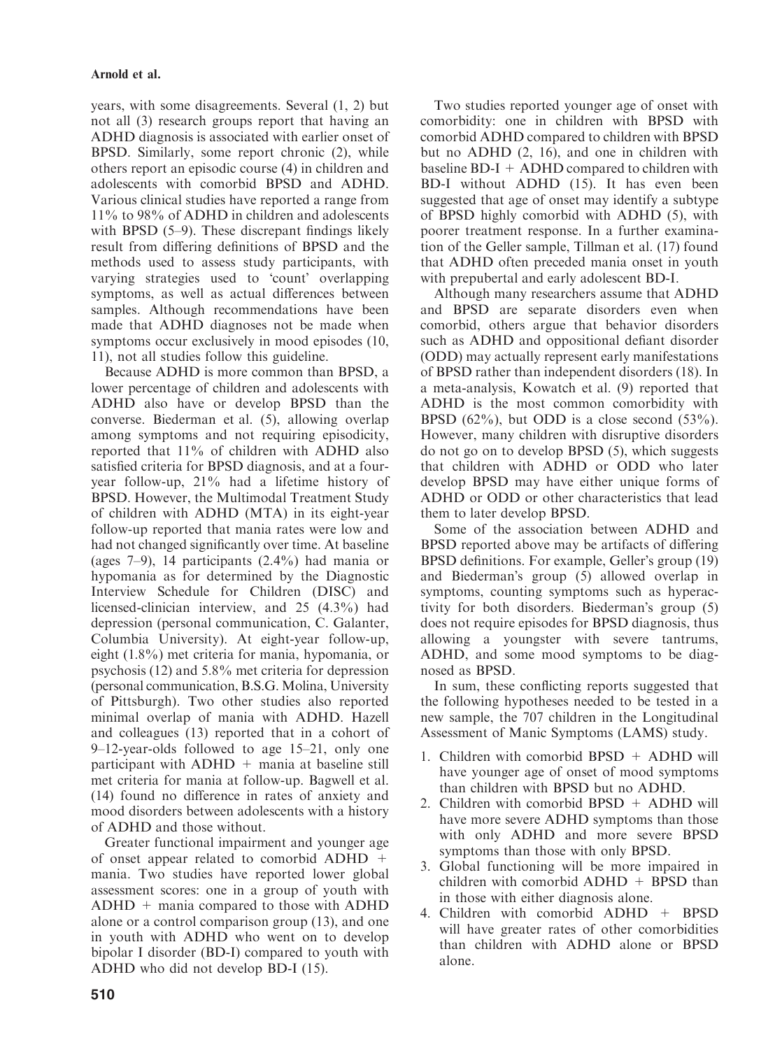years, with some disagreements. Several (1, 2) but not all (3) research groups report that having an ADHD diagnosis is associated with earlier onset of BPSD. Similarly, some report chronic (2), while others report an episodic course (4) in children and adolescents with comorbid BPSD and ADHD. Various clinical studies have reported a range from 11% to 98% of ADHD in children and adolescents with BPSD (5–9). These discrepant findings likely result from differing definitions of BPSD and the methods used to assess study participants, with varying strategies used to 'count' overlapping symptoms, as well as actual differences between samples. Although recommendations have been made that ADHD diagnoses not be made when symptoms occur exclusively in mood episodes (10, 11), not all studies follow this guideline.

Because ADHD is more common than BPSD, a lower percentage of children and adolescents with ADHD also have or develop BPSD than the converse. Biederman et al. (5), allowing overlap among symptoms and not requiring episodicity, reported that 11% of children with ADHD also satisfied criteria for BPSD diagnosis, and at a fouryear follow-up, 21% had a lifetime history of BPSD. However, the Multimodal Treatment Study of children with ADHD (MTA) in its eight-year follow-up reported that mania rates were low and had not changed significantly over time. At baseline (ages 7–9), 14 participants (2.4%) had mania or hypomania as for determined by the Diagnostic Interview Schedule for Children (DISC) and licensed-clinician interview, and 25 (4.3%) had depression (personal communication, C. Galanter, Columbia University). At eight-year follow-up, eight (1.8%) met criteria for mania, hypomania, or psychosis (12) and 5.8% met criteria for depression (personal communication, B.S.G. Molina, University of Pittsburgh). Two other studies also reported minimal overlap of mania with ADHD. Hazell and colleagues (13) reported that in a cohort of 9–12-year-olds followed to age 15–21, only one participant with  $ADHD + \text{mania at baseline still}$ met criteria for mania at follow-up. Bagwell et al. (14) found no difference in rates of anxiety and mood disorders between adolescents with a history of ADHD and those without.

Greater functional impairment and younger age of onset appear related to comorbid ADHD  $+$ mania. Two studies have reported lower global assessment scores: one in a group of youth with  $ADHD + \text{mania compared to those with } ADHD$ alone or a control comparison group (13), and one in youth with ADHD who went on to develop bipolar I disorder (BD-I) compared to youth with ADHD who did not develop BD-I (15).

Two studies reported younger age of onset with comorbidity: one in children with BPSD with comorbid ADHD compared to children with BPSD but no ADHD (2, 16), and one in children with baseline  $BD-I + ADHD$  compared to children with BD-I without ADHD (15). It has even been suggested that age of onset may identify a subtype of BPSD highly comorbid with ADHD (5), with poorer treatment response. In a further examination of the Geller sample, Tillman et al. (17) found that ADHD often preceded mania onset in youth with prepubertal and early adolescent BD-I.

Although many researchers assume that ADHD and BPSD are separate disorders even when comorbid, others argue that behavior disorders such as ADHD and oppositional defiant disorder (ODD) may actually represent early manifestations of BPSD rather than independent disorders (18). In a meta-analysis, Kowatch et al. (9) reported that ADHD is the most common comorbidity with BPSD  $(62\%)$ , but ODD is a close second  $(53\%)$ . However, many children with disruptive disorders do not go on to develop BPSD (5), which suggests that children with ADHD or ODD who later develop BPSD may have either unique forms of ADHD or ODD or other characteristics that lead them to later develop BPSD.

Some of the association between ADHD and BPSD reported above may be artifacts of differing BPSD definitions. For example, Geller's group (19) and Biederman's group (5) allowed overlap in symptoms, counting symptoms such as hyperactivity for both disorders. Biederman's group (5) does not require episodes for BPSD diagnosis, thus allowing a youngster with severe tantrums, ADHD, and some mood symptoms to be diagnosed as BPSD.

In sum, these conflicting reports suggested that the following hypotheses needed to be tested in a new sample, the 707 children in the Longitudinal Assessment of Manic Symptoms (LAMS) study.

- 1. Children with comorbid BPSD + ADHD will have younger age of onset of mood symptoms than children with BPSD but no ADHD.
- 2. Children with comorbid  $BPSD + ADHD$  will have more severe ADHD symptoms than those with only ADHD and more severe BPSD symptoms than those with only BPSD.
- 3. Global functioning will be more impaired in children with comorbid  $ADHD + BPSD$  than in those with either diagnosis alone.
- 4. Children with comorbid ADHD + BPSD will have greater rates of other comorbidities than children with ADHD alone or BPSD alone.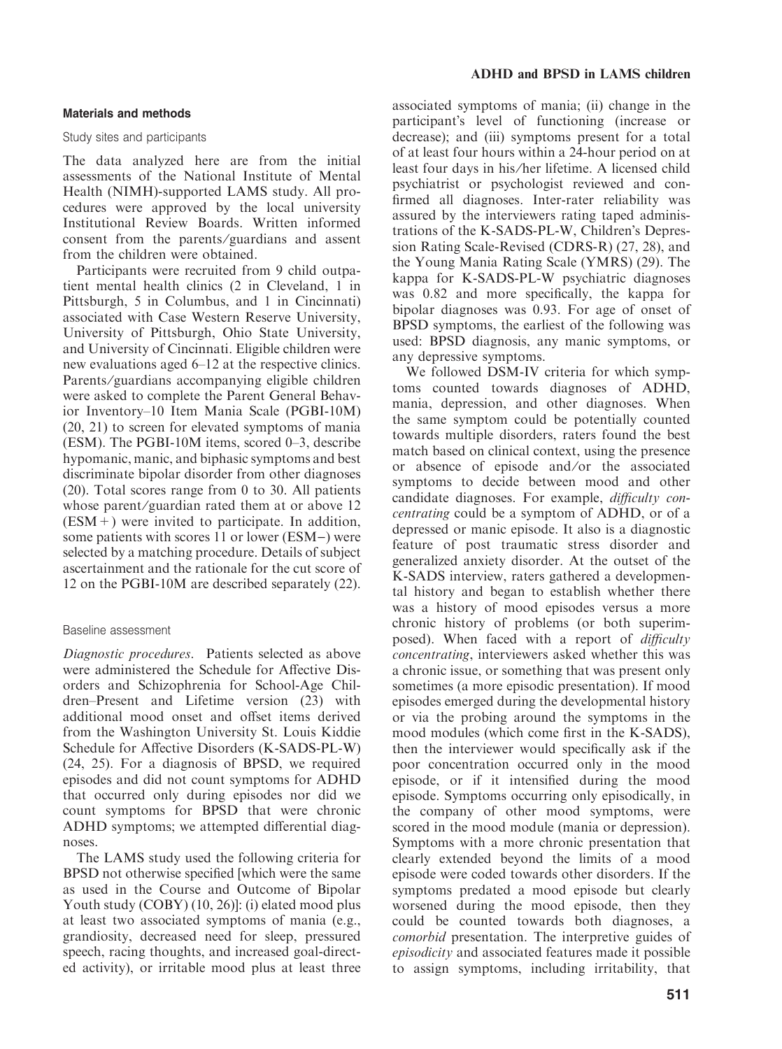# Materials and methods

# Study sites and participants

The data analyzed here are from the initial assessments of the National Institute of Mental Health (NIMH)-supported LAMS study. All procedures were approved by the local university Institutional Review Boards. Written informed consent from the parents/guardians and assent from the children were obtained.

Participants were recruited from 9 child outpatient mental health clinics (2 in Cleveland, 1 in Pittsburgh, 5 in Columbus, and 1 in Cincinnati) associated with Case Western Reserve University, University of Pittsburgh, Ohio State University, and University of Cincinnati. Eligible children were new evaluations aged 6–12 at the respective clinics. Parents ⁄ guardians accompanying eligible children were asked to complete the Parent General Behavior Inventory–10 Item Mania Scale (PGBI-10M) (20, 21) to screen for elevated symptoms of mania (ESM). The PGBI-10M items, scored 0–3, describe hypomanic, manic, and biphasic symptoms and best discriminate bipolar disorder from other diagnoses (20). Total scores range from 0 to 30. All patients whose parent/guardian rated them at or above 12  $(ESM+)$  were invited to participate. In addition, some patients with scores  $11$  or lower (ESM-) were selected by a matching procedure. Details of subject ascertainment and the rationale for the cut score of 12 on the PGBI-10M are described separately (22).

# Baseline assessment

Diagnostic procedures. Patients selected as above were administered the Schedule for Affective Disorders and Schizophrenia for School-Age Children–Present and Lifetime version (23) with additional mood onset and offset items derived from the Washington University St. Louis Kiddie Schedule for Affective Disorders (K-SADS-PL-W) (24, 25). For a diagnosis of BPSD, we required episodes and did not count symptoms for ADHD that occurred only during episodes nor did we count symptoms for BPSD that were chronic ADHD symptoms; we attempted differential diagnoses.

The LAMS study used the following criteria for BPSD not otherwise specified [which were the same as used in the Course and Outcome of Bipolar Youth study (COBY) (10, 26)]: (i) elated mood plus at least two associated symptoms of mania (e.g., grandiosity, decreased need for sleep, pressured speech, racing thoughts, and increased goal-directed activity), or irritable mood plus at least three associated symptoms of mania; (ii) change in the participant's level of functioning (increase or decrease); and (iii) symptoms present for a total of at least four hours within a 24-hour period on at least four days in his ⁄her lifetime. A licensed child psychiatrist or psychologist reviewed and confirmed all diagnoses. Inter-rater reliability was assured by the interviewers rating taped administrations of the K-SADS-PL-W, Children's Depression Rating Scale-Revised (CDRS-R) (27, 28), and the Young Mania Rating Scale (YMRS) (29). The kappa for K-SADS-PL-W psychiatric diagnoses was 0.82 and more specifically, the kappa for bipolar diagnoses was 0.93. For age of onset of BPSD symptoms, the earliest of the following was used: BPSD diagnosis, any manic symptoms, or any depressive symptoms.

We followed DSM-IV criteria for which symptoms counted towards diagnoses of ADHD, mania, depression, and other diagnoses. When the same symptom could be potentially counted towards multiple disorders, raters found the best match based on clinical context, using the presence or absence of episode and ⁄or the associated symptoms to decide between mood and other candidate diagnoses. For example, difficulty concentrating could be a symptom of ADHD, or of a depressed or manic episode. It also is a diagnostic feature of post traumatic stress disorder and generalized anxiety disorder. At the outset of the K-SADS interview, raters gathered a developmental history and began to establish whether there was a history of mood episodes versus a more chronic history of problems (or both superimposed). When faced with a report of difficulty concentrating, interviewers asked whether this was a chronic issue, or something that was present only sometimes (a more episodic presentation). If mood episodes emerged during the developmental history or via the probing around the symptoms in the mood modules (which come first in the K-SADS), then the interviewer would specifically ask if the poor concentration occurred only in the mood episode, or if it intensified during the mood episode. Symptoms occurring only episodically, in the company of other mood symptoms, were scored in the mood module (mania or depression). Symptoms with a more chronic presentation that clearly extended beyond the limits of a mood episode were coded towards other disorders. If the symptoms predated a mood episode but clearly worsened during the mood episode, then they could be counted towards both diagnoses, a comorbid presentation. The interpretive guides of episodicity and associated features made it possible to assign symptoms, including irritability, that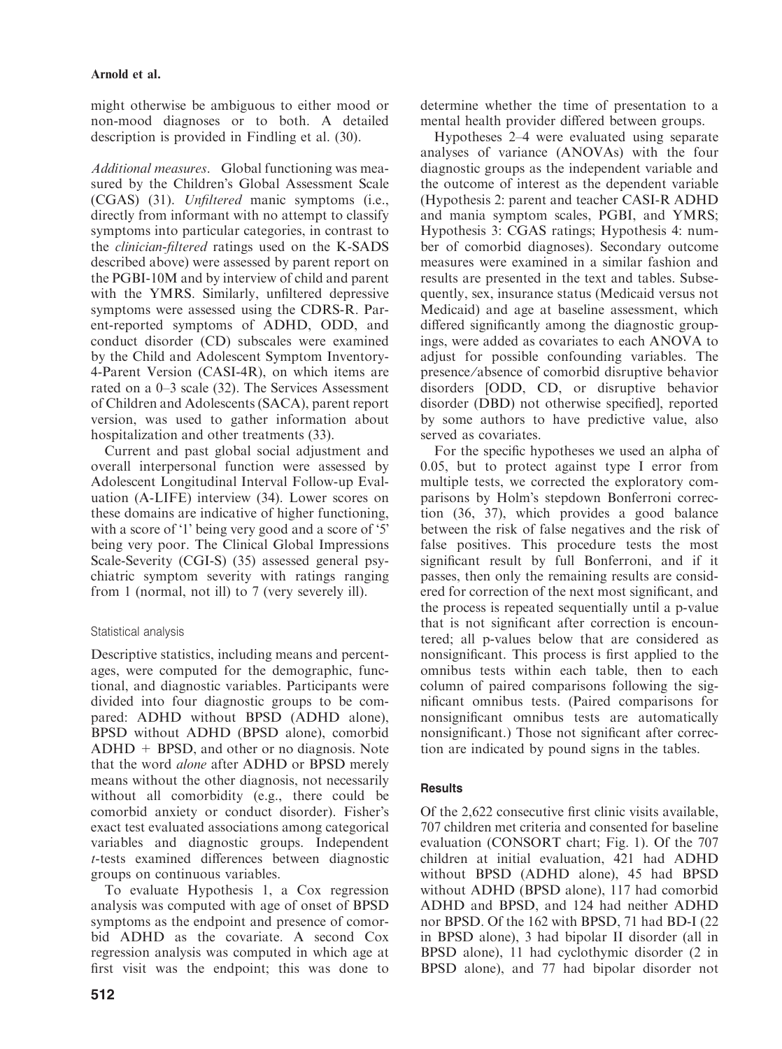might otherwise be ambiguous to either mood or non-mood diagnoses or to both. A detailed description is provided in Findling et al. (30).

Additional measures. Global functioning was measured by the Children's Global Assessment Scale (CGAS) (31). Unfiltered manic symptoms (i.e., directly from informant with no attempt to classify symptoms into particular categories, in contrast to the clinician-filtered ratings used on the K-SADS described above) were assessed by parent report on the PGBI-10M and by interview of child and parent with the YMRS. Similarly, unfiltered depressive symptoms were assessed using the CDRS-R. Parent-reported symptoms of ADHD, ODD, and conduct disorder (CD) subscales were examined by the Child and Adolescent Symptom Inventory-4-Parent Version (CASI-4R), on which items are rated on a 0–3 scale (32). The Services Assessment of Children and Adolescents (SACA), parent report version, was used to gather information about hospitalization and other treatments (33).

Current and past global social adjustment and overall interpersonal function were assessed by Adolescent Longitudinal Interval Follow-up Evaluation (A-LIFE) interview (34). Lower scores on these domains are indicative of higher functioning, with a score of 'l' being very good and a score of '5' being very poor. The Clinical Global Impressions Scale-Severity (CGI-S) (35) assessed general psychiatric symptom severity with ratings ranging from 1 (normal, not ill) to 7 (very severely ill).

# Statistical analysis

Descriptive statistics, including means and percentages, were computed for the demographic, functional, and diagnostic variables. Participants were divided into four diagnostic groups to be compared: ADHD without BPSD (ADHD alone), BPSD without ADHD (BPSD alone), comorbid ADHD + BPSD, and other or no diagnosis. Note that the word alone after ADHD or BPSD merely means without the other diagnosis, not necessarily without all comorbidity (e.g., there could be comorbid anxiety or conduct disorder). Fisher's exact test evaluated associations among categorical variables and diagnostic groups. Independent t-tests examined differences between diagnostic groups on continuous variables.

To evaluate Hypothesis 1, a Cox regression analysis was computed with age of onset of BPSD symptoms as the endpoint and presence of comorbid ADHD as the covariate. A second Cox regression analysis was computed in which age at first visit was the endpoint; this was done to

determine whether the time of presentation to a mental health provider differed between groups.

Hypotheses 2–4 were evaluated using separate analyses of variance (ANOVAs) with the four diagnostic groups as the independent variable and the outcome of interest as the dependent variable (Hypothesis 2: parent and teacher CASI-R ADHD and mania symptom scales, PGBI, and YMRS; Hypothesis 3: CGAS ratings; Hypothesis 4: number of comorbid diagnoses). Secondary outcome measures were examined in a similar fashion and results are presented in the text and tables. Subsequently, sex, insurance status (Medicaid versus not Medicaid) and age at baseline assessment, which differed significantly among the diagnostic groupings, were added as covariates to each ANOVA to adjust for possible confounding variables. The presence ⁄ absence of comorbid disruptive behavior disorders [ODD, CD, or disruptive behavior disorder (DBD) not otherwise specified], reported by some authors to have predictive value, also served as covariates.

For the specific hypotheses we used an alpha of 0.05, but to protect against type I error from multiple tests, we corrected the exploratory comparisons by Holm's stepdown Bonferroni correction (36, 37), which provides a good balance between the risk of false negatives and the risk of false positives. This procedure tests the most significant result by full Bonferroni, and if it passes, then only the remaining results are considered for correction of the next most significant, and the process is repeated sequentially until a p-value that is not significant after correction is encountered; all p-values below that are considered as nonsignificant. This process is first applied to the omnibus tests within each table, then to each column of paired comparisons following the significant omnibus tests. (Paired comparisons for nonsignificant omnibus tests are automatically nonsignificant.) Those not significant after correction are indicated by pound signs in the tables.

# Results

Of the 2,622 consecutive first clinic visits available, 707 children met criteria and consented for baseline evaluation (CONSORT chart; Fig. 1). Of the 707 children at initial evaluation, 421 had ADHD without BPSD (ADHD alone), 45 had BPSD without ADHD (BPSD alone), 117 had comorbid ADHD and BPSD, and 124 had neither ADHD nor BPSD. Of the 162 with BPSD, 71 had BD-I (22 in BPSD alone), 3 had bipolar II disorder (all in BPSD alone), 11 had cyclothymic disorder (2 in BPSD alone), and 77 had bipolar disorder not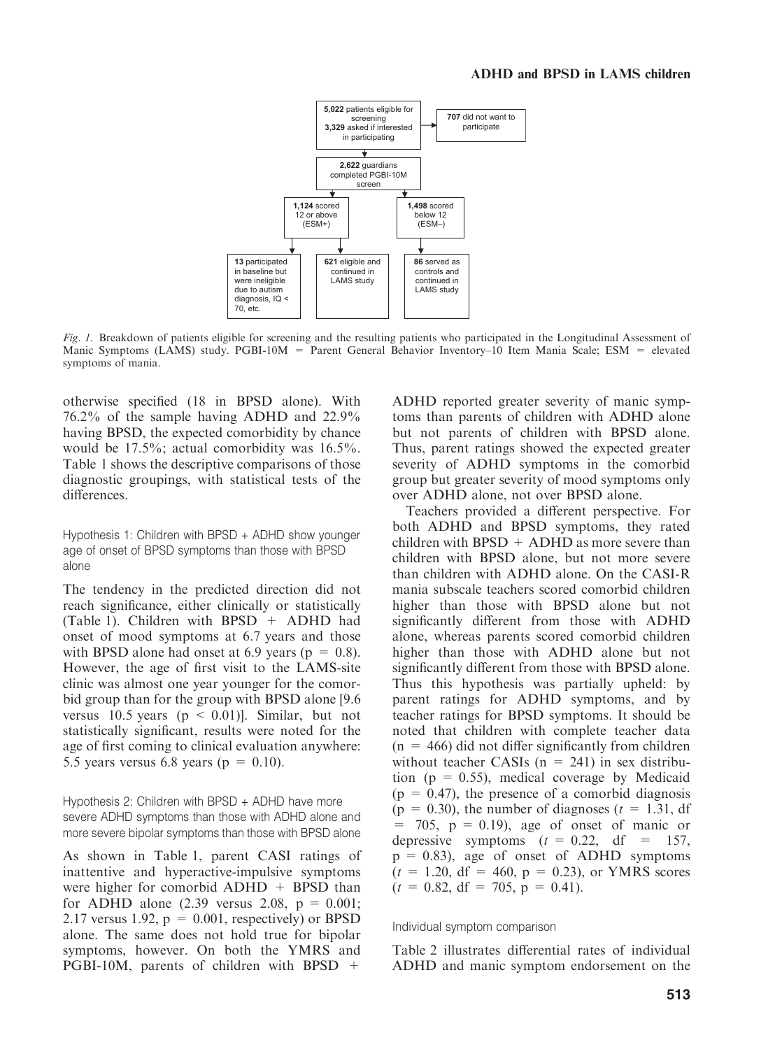

Fig. 1. Breakdown of patients eligible for screening and the resulting patients who participated in the Longitudinal Assessment of Manic Symptoms (LAMS) study. PGBI-10M = Parent General Behavior Inventory–10 Item Mania Scale; ESM = elevated symptoms of mania.

otherwise specified (18 in BPSD alone). With 76.2% of the sample having ADHD and 22.9% having BPSD, the expected comorbidity by chance would be 17.5%; actual comorbidity was 16.5%. Table 1 shows the descriptive comparisons of those diagnostic groupings, with statistical tests of the differences.

Hypothesis 1: Children with BPSD + ADHD show younger age of onset of BPSD symptoms than those with BPSD alone

The tendency in the predicted direction did not reach significance, either clinically or statistically (Table 1). Children with  $BPSD + ADHD$  had onset of mood symptoms at 6.7 years and those with BPSD alone had onset at 6.9 years ( $p = 0.8$ ). However, the age of first visit to the LAMS-site clinic was almost one year younger for the comorbid group than for the group with BPSD alone [9.6 versus 10.5 years ( $p \le 0.01$ ). Similar, but not statistically significant, results were noted for the age of first coming to clinical evaluation anywhere: 5.5 years versus 6.8 years ( $p = 0.10$ ).

Hypothesis 2: Children with BPSD + ADHD have more severe ADHD symptoms than those with ADHD alone and more severe bipolar symptoms than those with BPSD alone

As shown in Table 1, parent CASI ratings of inattentive and hyperactive-impulsive symptoms were higher for comorbid  $ADHD + BPSD$  than for ADHD alone  $(2.39 \text{ versus } 2.08, \text{ p} = 0.001;$ 2.17 versus 1.92,  $p = 0.001$ , respectively) or BPSD alone. The same does not hold true for bipolar symptoms, however. On both the YMRS and PGBI-10M, parents of children with BPSD +

ADHD reported greater severity of manic symptoms than parents of children with ADHD alone but not parents of children with BPSD alone. Thus, parent ratings showed the expected greater severity of ADHD symptoms in the comorbid group but greater severity of mood symptoms only over ADHD alone, not over BPSD alone.

Teachers provided a different perspective. For both ADHD and BPSD symptoms, they rated children with  $BPSD + ADHD$  as more severe than children with BPSD alone, but not more severe than children with ADHD alone. On the CASI-R mania subscale teachers scored comorbid children higher than those with BPSD alone but not significantly different from those with ADHD alone, whereas parents scored comorbid children higher than those with ADHD alone but not significantly different from those with BPSD alone. Thus this hypothesis was partially upheld: by parent ratings for ADHD symptoms, and by teacher ratings for BPSD symptoms. It should be noted that children with complete teacher data  $(n = 466)$  did not differ significantly from children without teacher CASIs  $(n = 241)$  in sex distribution ( $p = 0.55$ ), medical coverage by Medicaid  $(p = 0.47)$ , the presence of a comorbid diagnosis  $(p = 0.30)$ , the number of diagnoses  $(t = 1.31, df)$  $= 705$ ,  $p = 0.19$ ), age of onset of manic or depressive symptoms  $(t = 0.22, df = 157,$  $p = 0.83$ , age of onset of ADHD symptoms  $(t = 1.20, df = 460, p = 0.23)$ , or YMRS scores  $(t = 0.82, df = 705, p = 0.41).$ 

### Individual symptom comparison

Table 2 illustrates differential rates of individual ADHD and manic symptom endorsement on the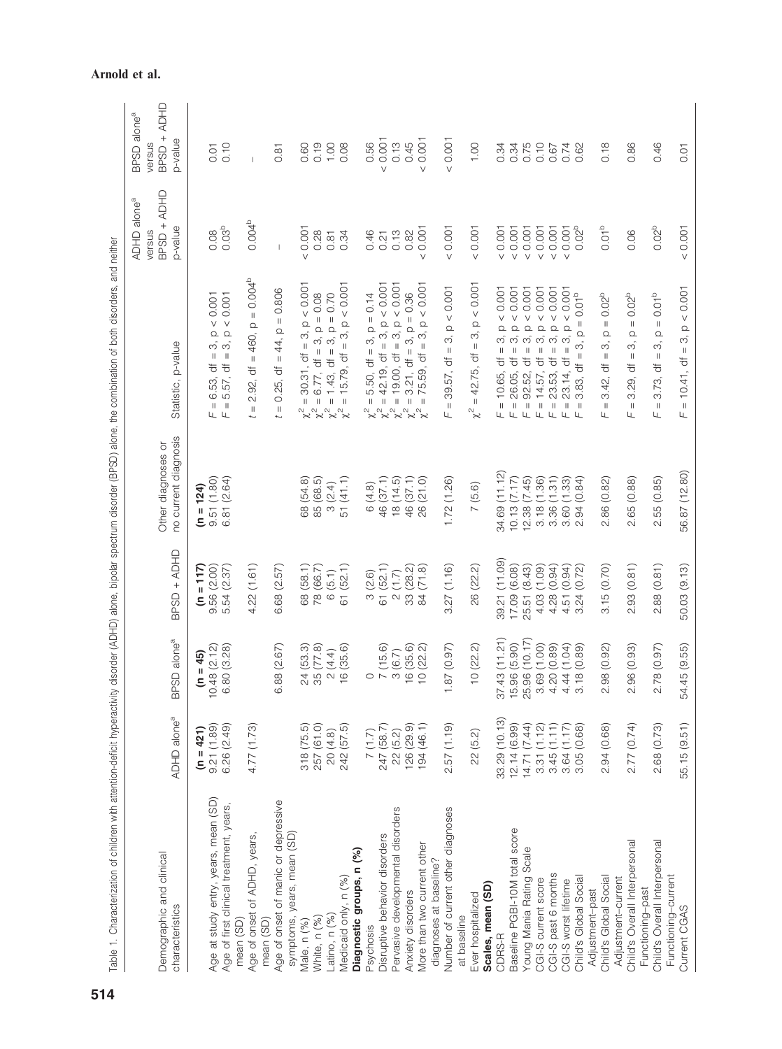| Table 1. Characterization of children with attention-deficit hyperactivity |                           |                                          |                                                          |                           | disorder (ADHD) alone, bipolar spectrum disorder (BPSD) alone, the combination of both disorders, and neither                                                                                    |                                                                       |                                                                       |
|----------------------------------------------------------------------------|---------------------------|------------------------------------------|----------------------------------------------------------|---------------------------|--------------------------------------------------------------------------------------------------------------------------------------------------------------------------------------------------|-----------------------------------------------------------------------|-----------------------------------------------------------------------|
| Demographic and clinical<br>characteristics                                | ADHD alone <sup>a</sup>   | PSD alone <sup>a</sup><br>∞              | BPSD + ADHD                                              | Other diagnoses or        | Statistic, p-value                                                                                                                                                                               | <b>ADHD</b><br>ADHD alone <sup>a</sup><br>BPSD +<br>p-value<br>versus | <b>ADHD</b><br>BPSD alone <sup>a</sup><br>BPSD +<br>p-value<br>versus |
|                                                                            |                           |                                          |                                                          | no current diagnosis      |                                                                                                                                                                                                  |                                                                       |                                                                       |
| Age at study entry, years, mean (SD)                                       | 9.21(1.89)<br>$(n = 421)$ | $10.48(2.12)$ $6.80(3.28)$<br>$(n = 45)$ | $= 117$<br>9.56(2.00)<br>$\tilde{\boldsymbol{\epsilon}}$ | 9.51(1.80)<br>$(n = 124)$ | 0.001<br>$\vee$<br>$\Omega$<br>$\hat{\infty}$<br>$\sf II$<br>$\overline{\sigma}$<br>6.53,<br>$\ensuremath{\mathsf{II}}$<br>4                                                                     | 0.08                                                                  | 0.01                                                                  |
| Age of first clinical treatment, years,<br>mean (SD)                       | 6.26(2.49)                |                                          | 5.54 (2.37)                                              | 6.81 (2.64)               | < 0.001<br>$\frac{a}{3}$<br>$\sf II$<br>5.57, df<br>$\mathop{\rm II}\nolimits$<br>Щ                                                                                                              | 0.03 <sup>b</sup>                                                     | 0.10                                                                  |
| Age of onset of ADHD, years,                                               | 4.77 (1.73)               |                                          | 4.22(1.61)                                               |                           | $= 460, p = 0.004b$<br>ð<br>2.92,<br>$\ensuremath{\mathsf{II}}$<br>t                                                                                                                             | $0.004^{b}$                                                           | $\overline{1}$                                                        |
| mean (SD)                                                                  |                           |                                          |                                                          |                           |                                                                                                                                                                                                  |                                                                       |                                                                       |
| Age of onset of manic or depressive                                        |                           | 88 (2.67)<br>$\dot{\circ}$               | 6.68(2.57)                                               |                           | 0.25, df = 44, $p = 0.806$<br>$\mathbf{r}$                                                                                                                                                       | $\overline{1}$                                                        | 0.81                                                                  |
| symptoms, years, mean (SD)                                                 |                           |                                          |                                                          | 68 (54.8)                 | $30.31$ , df = 3, p < 0.001                                                                                                                                                                      | 0.001                                                                 | 0.60                                                                  |
| White, n (%)<br>Male, n (%)                                                | 318(75.5)<br>257 (61.0)   | 24 (53.3)<br>35 (77.8)                   | 68 (58.1)<br>78 (66.7)                                   | 85 (68.5)                 | $\chi^2 = 30.31$ , df = 3, p < 0.001<br>$\chi^2 = 6.77$ , df = 3, p = 0.08<br>$\chi^2 = 1.43$ , df = 3, p = 0.70<br>$\chi^2 = 15.79$ , df = 3, p < 0.001                                         | 0.28                                                                  | 0.19                                                                  |
| Latino, n (%)                                                              | 20(4.8)                   |                                          | 6(5.1)                                                   | 3(2.4)                    |                                                                                                                                                                                                  | 0.81                                                                  |                                                                       |
| Medicaid only, n (%)                                                       | 242 (57.5)                | $2(4.4)$<br>16 (35.6)                    | 61(52.1)                                                 | 51(41.1)                  | 15.79, df = 3, $p < 0.001$                                                                                                                                                                       | 0.34                                                                  | $1.00$<br>0.08                                                        |
| Diagnostic groups, n (%)                                                   |                           |                                          |                                                          |                           |                                                                                                                                                                                                  |                                                                       |                                                                       |
| Psychosis                                                                  |                           |                                          | 3(2.6)                                                   | 6(4.8)                    |                                                                                                                                                                                                  | 0.46                                                                  | 0.56                                                                  |
| Disruptive behavior disorders                                              | $7$ (1.7)<br>(58.7)       | $\frac{0}{7(15.6)}$                      | 61(52.1)                                                 | 46 (37.1)                 |                                                                                                                                                                                                  | 0.21                                                                  | 0.001<br>$\vee$                                                       |
| Pervasive developmental disorders                                          | 22(5.2)                   |                                          | 2(1.7)                                                   | 18(14.5)                  |                                                                                                                                                                                                  | 0.13                                                                  | 0.13                                                                  |
| Anxiety disorders                                                          | 126(29.9)                 | $3(6.7)$<br>16 (35.6)                    | 33 (28.2)                                                | 46 (37.1)                 |                                                                                                                                                                                                  | 0.82                                                                  | 0.45                                                                  |
| More than two current other                                                | 194 (46.1)                | 10(22.2)                                 | 84 (71.8)                                                | 26 (21.0)                 | $\chi^2 = 5.50$ , df = 3, p = 0.14<br>$\chi^2 = 42.19$ , df = 3, p < 0.001<br>$\chi^2 = 19.00$ , df = 3, p < 0.001<br>$\chi^2 = 3.21$ , df = 3, p = 0.36<br>$\chi^2 = 75.59$ , df = 3, p < 0.001 | 0.001<br>V                                                            | 0.001                                                                 |
| diagnoses at baseline?                                                     |                           |                                          |                                                          |                           |                                                                                                                                                                                                  |                                                                       |                                                                       |
| Number of current other diagnoses                                          | 2.57(1.19)                | 87 (0.97)                                | 3.27(1.16)                                               | 1.72(1.26)                | 3, p < 0.001<br>$\mathsf{II}$<br>₩<br>57,<br>39.<br>$\, \parallel$<br>Щ                                                                                                                          | 0.001                                                                 | 0.001<br>$\vee$                                                       |
| at baseline                                                                |                           |                                          |                                                          |                           |                                                                                                                                                                                                  |                                                                       |                                                                       |
| Ever hospitalized                                                          | 22 (5.2)                  | 10(22.2)                                 | 26 (22.2)                                                | 7(5.6)                    | p < 0.001<br>$\hat{\infty}$<br>$\, \parallel$<br>42.75, df<br>$\, \parallel$<br>$\approx$                                                                                                        | 0.001<br>$\vee$                                                       | 1.00                                                                  |
| Scales, mean (SD)                                                          |                           |                                          |                                                          |                           |                                                                                                                                                                                                  |                                                                       |                                                                       |
| CDRS-R                                                                     | 33.29 (10.13)             | 37.43(11.21)                             | (11.09)<br>39.21                                         | 34.69 (11.12)             | $\mathsf{II}$<br>$\overline{\sigma}$<br>$= 10.65,$<br>F                                                                                                                                          | 0.001                                                                 | 0.34                                                                  |
| Baseline PGBI-10M total score                                              | 12.14(6.99)               | $15.96(5.90)$ $25.96(10.17)$             | (6.08)<br>17.09                                          | 10.13(7.17)               | $26.05, df =$<br>$\,$ H<br>Щ                                                                                                                                                                     | 0.001                                                                 |                                                                       |
| Young Mania Rating Scale                                                   | 14.71(7.44)               |                                          | (8.43)<br>25.51                                          | 12.38(7.45)               | $= 3, p < 0.001$<br>$= 3, p < 0.001$<br>$= 3, p < 0.001$<br>$= 3, p < 0.001$<br>$92.52, df =$<br>$\mathop{\rm II}\nolimits$<br>$\bot \bot$                                                       | 0.001                                                                 | 0.5<br>0.5<br>0.5<br>0.5                                              |
| CGI-S current score                                                        | 3.31(1.12)                | (1.00)<br>3.69                           | (1.09)<br>4.03                                           | 3.18(1.36)                | $= 14.57$ , df $=$                                                                                                                                                                               | < 0.001                                                               |                                                                       |
| CGI-S past 6 months                                                        | 3.45(1.11)                | 4.20(0.89)                               | (0.94)<br>4.28                                           | 3.36(1.31)                | 3, p < 0.001<br>$23.53, df =$<br>$\ensuremath{\mathsf{II}}$<br>Щ                                                                                                                                 | < 0.001                                                               |                                                                       |
| CGI-S worst lifetime                                                       | 3.64(1.17)                | (1.04)<br>4.44                           | (0.94)<br>4.51                                           | 3.60(1.33)                | p < 0.001<br>$\overline{\mathcal{E}}$<br>$23.14, df =$<br>$\ensuremath{\mathsf{II}}$<br><b>44</b>                                                                                                | 0.001                                                                 | 0.74<br>0.00<br>0.00                                                  |
| Child's Global Social                                                      | 3.05(0.68)                | 3.18(0.89)                               | (0.72)<br>3.24                                           | 2.94(0.84)                | $1 = 0.01^{\circ}$<br>$\Omega$<br>က်<br>$\mathsf{I}$<br>3.83, df<br>$\blacksquare$                                                                                                               | $0.02^{b}$                                                            |                                                                       |
| Adjustment-past                                                            |                           |                                          |                                                          |                           |                                                                                                                                                                                                  |                                                                       |                                                                       |
| Child's Global Social                                                      | 2.94 (0.68)               | 98 (0.92)<br>$\sim$                      | (0.70)<br>3.15                                           | 2.86 (0.82)               | 0.02 <sup>b</sup><br>$\, \parallel$<br>$\Omega$<br>က်<br>$\, \parallel$<br>₩<br>42,<br>S<br>$\, \parallel$<br>Щ                                                                                  | 0.01 <sup>b</sup>                                                     | 0.18                                                                  |
| Child's Overall Interpersonal<br>Adjustment-current                        | 2.77 (0.74)               | 96 (0.93)<br>N                           | 2.93(0.81)                                               | 2.65 (0.88)               | 0.02 <sup>b</sup><br>$\, \parallel$<br>က်<br>$\, \parallel$<br>₩<br>3.29,<br>$\, \parallel$<br>ц                                                                                                 | 0.06                                                                  | 0.86                                                                  |
| Functioning-past                                                           |                           |                                          |                                                          |                           | $\Omega$                                                                                                                                                                                         |                                                                       |                                                                       |
| Child's Overall Interpersonal                                              | 2.68 (0.73)               | 2.78 (0.97)                              | 2.88 (0.81)                                              | 2.55 (0.85)               | $= 0.01b$<br>$\Omega$<br>$\tilde{\mathfrak{S}}$<br>$\sf II$<br>3.73, df<br>$\bar{\Pi}$<br>Щ                                                                                                      | $0.02^{b}$                                                            | 0.46                                                                  |
| Functioning-current                                                        |                           |                                          |                                                          |                           |                                                                                                                                                                                                  |                                                                       |                                                                       |
| Current CGAS                                                               | 55.15 (9.51)              | 54.45 (9.55)                             | 50.03 (9.13)                                             | 56.87 (12.80)             | 3, p < 0.001<br>$= 10.41$ , df $=$<br>Щ                                                                                                                                                          | 0.001                                                                 | 0.01                                                                  |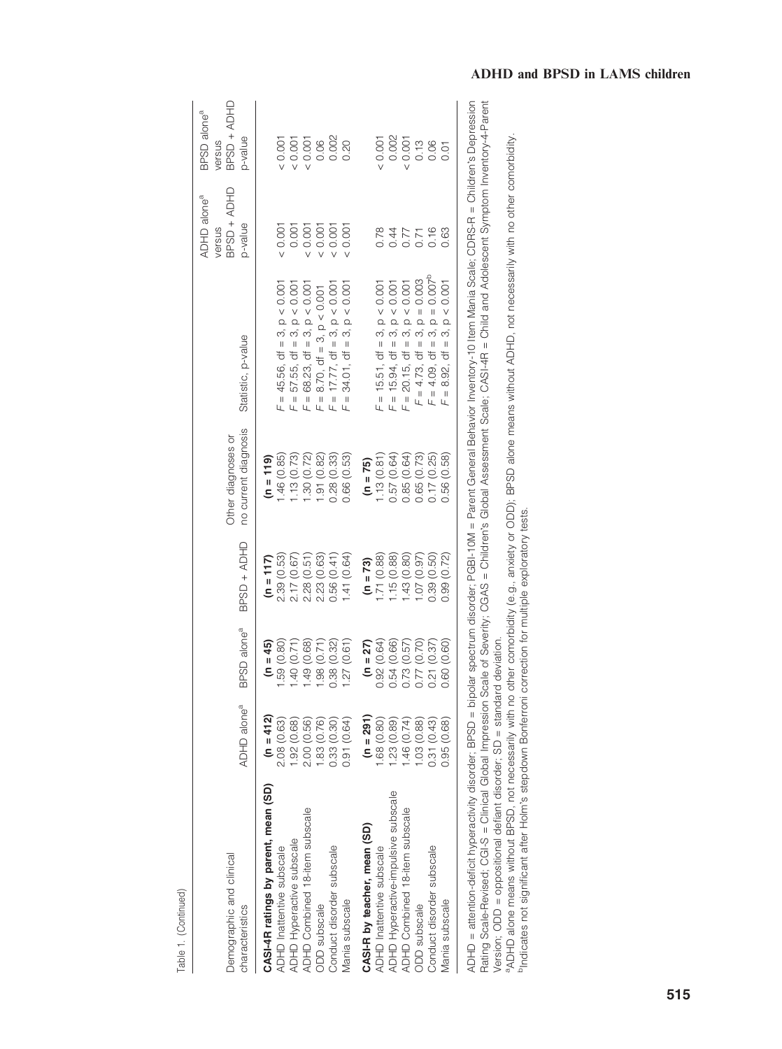| Demographic and clinical<br>characteristics                              | ADHD alone <sup>a</sup>   | BPSD alone <sup>a</sup>   | BPSD + ADHD                | no current diagnosis<br>Other diagnoses or | Statistic, p-value                                          | BPSD + ADHD<br>o-value<br>versus | BPSD + ADHD<br>p-value<br>versus |
|--------------------------------------------------------------------------|---------------------------|---------------------------|----------------------------|--------------------------------------------|-------------------------------------------------------------|----------------------------------|----------------------------------|
| CASI-4R ratings by parent, mean (SD)<br><b>ADHD</b> Inattentive subscale | $(n = 412)$<br>2.08(0.63) | 1.59 (0.80)<br>$(n = 45)$ | 2.39 (0.53)<br>$(n = 117)$ | .46(0.85)<br>$(n = 119)$                   | $F = 45.56$ , df = 3, p < 0.001                             | 0.001                            | 0.001                            |
| ADHD Hyperactive subscale                                                | 0.92(0.68)                | 1.40(0.71)                | 2.17 (0.67)                | .13(0.73)                                  | $F = 57.55$ , df = 3, p < 0.001                             | 0.001                            | < 0.001                          |
| ADHD Combined 18-item subscale                                           | 2.00 (0.56)               | 1.49 (0.68)               | 2.28(0.51)                 | 1.30(0.72)                                 | $F = 68.23$ , df = 3, p < 0.00                              | 0.001                            | < 0.001                          |
| <b>ODD</b> subscale                                                      | 1.83 (0.76)               | 1.98(0.71)                | 2.23(0.63)                 | 1.91(0.82)                                 | $F = 8.70$ , df = 3, p < 0.001                              | 0.001                            | 0.06                             |
| Conduct disorder subscale                                                | 0.33(0.30)                | 0.38(0.32)                | 0.56(0.41)                 | 0.28(0.33)                                 | $F = 17.77$ , df = 3, p < 0.00                              | 0.001                            | 0.002                            |
| Mania subscale                                                           | 0.91 (0.64)               | 1.27(0.61)                | .41(0.64)                  | 0.66(0.53)                                 | $F = 34.01$ , df = 3, p < 0.001                             | 0.001                            | 0.20                             |
| CASI-R by teacher, mean (SD)                                             | $(n = 291)$               | $(n = 27)$                | $(n = 73)$                 | $(n = 75)$                                 |                                                             |                                  |                                  |
| ADHD Inattentive subscale                                                | .68 (0.80)                | 0.92(0.64)                | .71(0.88)                  | 1.13(0.81)                                 | $F = 15.51$ , df = 3, p < 0.001                             |                                  | 0.001                            |
| ADHD Hyperactive-impulsive subscale                                      | .23(0.89)                 | 0.54(0.66)                | 1.15 (0.88)                | 0.57 (0.64)                                | $F = 15.94$ , df = 3, p < 0.001                             | 0.44                             | 0.002                            |
| ADHD Combined 18-item subscale                                           | .46(0.74)                 | 0.73(0.57)                | 1.43(0.80)                 | 0.85(0.64)                                 | $F = 20.15$ , df = 3, p < 0.001                             | 0.77                             | 0.001                            |
| <b>ODD</b> subscale                                                      | 1.03(0.88)                | 0.77(0.70)                | (0.97)                     | 0.65(0.73)                                 | 3, $p = 0.003$<br>$F = 4.73$ , df =                         | 0.71                             | 0.13                             |
| Conduct disorder subscale                                                | 0.31(0.43)                | 0.21(0.37)                | 0.39(0.50)                 | 0.17(0.25)                                 | 0.007 <sup>b</sup><br>$-3, p = 0$<br>$= 4.09$ , df $=$<br>Щ | 0.16                             | 0.06                             |
| Vlania subscale                                                          | 0.95(0.68)                | 0.60(0.60)                | 0.99(0.72)                 | 0.56 (0.58)                                | 3, p < 0.001<br>$\frac{1}{10}$<br>$= 8.92,$                 | 0.63                             | 0.01                             |

# Version; ODD = oppositional defiant disorder; SD = standard deviation.<br><sup>a</sup>ADHD alone means without BPSD, not necessarily with no other comorbidity (e.g., anxiety or ODD); BPSD alone means without ADHD, not necessarily with aADHD alone means without BPSD, not necessarily with no other comorbidity (e.g., anxiety or ODD); BPSD alone means without ADHD, not necessarily with no other comorbidity. bIndicates not significant after Holms stepdown Bonferroni correction for multiple exploratory tests. Version; ODD = oppositional defiant disorder; SD = standard deviation.

Table 1. (Continued) Table 1. (Continued)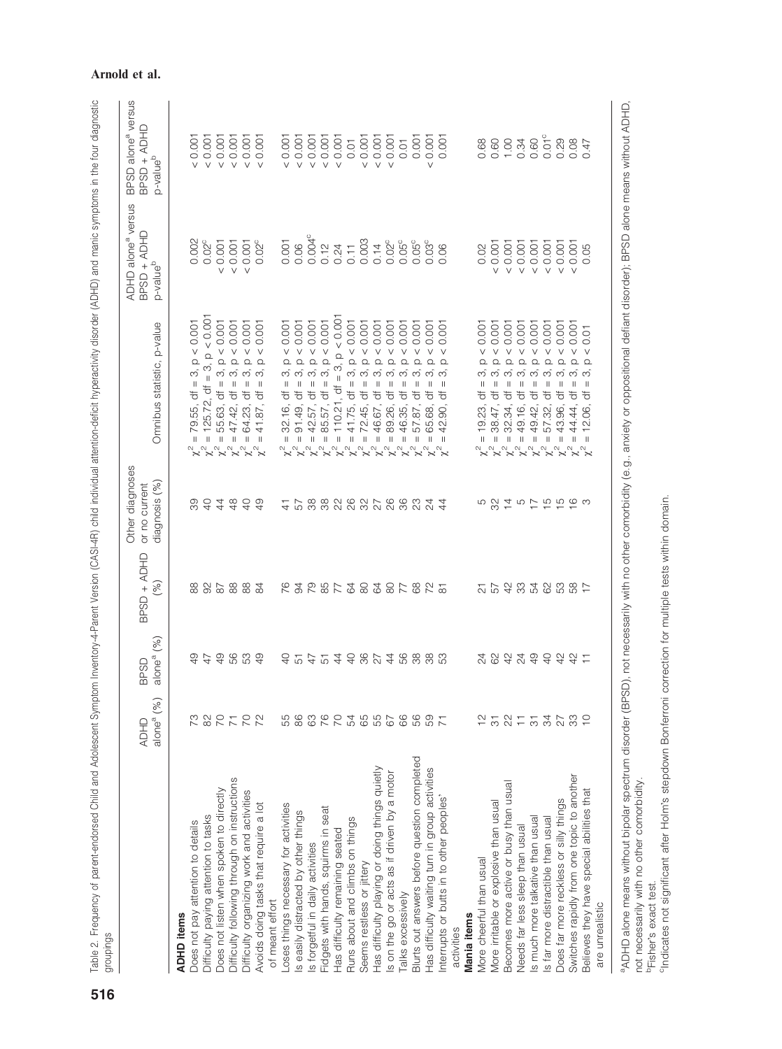| $\begin{array}{c} 2 \\ 2 \\ 0 \end{array}$<br>73<br>Difficulty paying attention to tasks<br>Does not pay attention to details<br><b>ADHD</b> items | (%)<br>alonea<br>BPSD<br>alone <sup>a</sup> (%) | BPSD + ADHD<br>(96) | Other diagnoses<br>diagnosis (%)<br>or no current | p-value<br>Omnibus statistic,                                                                                                                                                                                                      | alone <sup>a</sup> versus<br>BPSD + ADHD<br>p-value <sup>b</sup><br>ADHD             | alone <sup>a</sup> versus<br>BPSD + ADHD<br>p-value <sup>b</sup><br>BPSD               |
|----------------------------------------------------------------------------------------------------------------------------------------------------|-------------------------------------------------|---------------------|---------------------------------------------------|------------------------------------------------------------------------------------------------------------------------------------------------------------------------------------------------------------------------------------|--------------------------------------------------------------------------------------|----------------------------------------------------------------------------------------|
|                                                                                                                                                    |                                                 |                     |                                                   |                                                                                                                                                                                                                                    |                                                                                      |                                                                                        |
|                                                                                                                                                    | $\overline{6}$                                  |                     | 39                                                | 0.001<br>$\Omega$<br>$\hat{\infty}$<br>$79.55, df =$<br>$\mathsf{H}% _{0}\left( \mathcal{N}\right)$                                                                                                                                |                                                                                      | $\overline{O}$<br>ö<br>$\vee$                                                          |
|                                                                                                                                                    |                                                 |                     |                                                   | < 0.001<br>$\hbox{ }^{\circ}$<br>$\infty$<br>$\ensuremath{\mathsf{II}}$<br>$\overline{a}$<br>125.72,<br>$\mathbf{H}$                                                                                                               |                                                                                      | $\vee$                                                                                 |
| Does not listen when spoken to directly                                                                                                            |                                                 |                     |                                                   | $\vee$<br>$\ensuremath{\mathsf{II}}$<br>$\overline{\sigma}$<br>55.63,<br>$\mathbf{H}$                                                                                                                                              | $\vee$                                                                               |                                                                                        |
| Difficulty following through on instructions                                                                                                       | 79809                                           | 22232               | 44844                                             | $0.001$<br>$0.001$<br>$\overline{\vee}$<br>$\begin{array}{ccccccccc}\n\Omega & \Omega & \Omega & \Omega & \Omega\n\end{array}$<br>က်က်က်က<br>$\,$ H<br>$\overleftarrow{\sigma}$<br>47.42,<br>$\parallel$<br>22222222               | $\begin{array}{c} 0.00000 \\ 0.00000 \\ 0.00000 \\ 0.00000 \\ \end{array}$<br>$\vee$ | $\begin{array}{c} 0.001 \\ 0.001 \\ 0.0001 \\ 0.0001 \\ 0.0001 \end{array}$<br>V V V V |
| Difficulty organizing work and activities                                                                                                          |                                                 |                     |                                                   | $\frac{10001}{20001}$<br>$\mathbf{H}=\mathbf{H}$<br>$\frac{4}{5}$<br>64.23,<br>$\parallel$ H $\parallel$                                                                                                                           | $\vee$                                                                               |                                                                                        |
| 22<br>Avoids doing tasks that require a lot<br>of meant effort                                                                                     |                                                 |                     |                                                   |                                                                                                                                                                                                                                    |                                                                                      |                                                                                        |
| Loses things necessary for activities                                                                                                              | Q                                               |                     | $\pm$                                             | $\, \parallel$<br>$\overline{\sigma}$<br>$\mathbf{H}$                                                                                                                                                                              |                                                                                      | $\vee$                                                                                 |
| is easily distracted by other things                                                                                                               |                                                 |                     |                                                   | $\Omega$ $\Omega$<br>$\, \parallel$<br>$\overleftarrow{\mathrm{o}}$<br>$\mathbf{H}$                                                                                                                                                |                                                                                      | $\vee$                                                                                 |
| 58887<br>Is forgetful in daily activities                                                                                                          |                                                 |                     |                                                   | $0.001$<br>$0.001$<br>$0.001$<br>$0.001$<br>$\hskip 10pt \Omega$<br>ຕ໌ຕ໌ຕ໌<br>$\sf II$<br>$\overleftarrow{\mathrm{o}}$<br>$32.16$ , c<br>$91.49$ , c<br>$42.57$ , c<br>$85.57$ , c                                                 |                                                                                      |                                                                                        |
| Fidgets with hands, squirms in seat                                                                                                                |                                                 |                     |                                                   | 0.001<br>$\overline{\vee}$<br>$\Omega$<br>$\omega$<br>$dt =$                                                                                                                                                                       |                                                                                      | V V V                                                                                  |
| Has difficulty remaining seated                                                                                                                    |                                                 |                     |                                                   | < 0.001<br>$\hskip 1.9cm \Omega$<br>က်<br>$\mathbf{H}$<br>$\frac{1}{2}$                                                                                                                                                            |                                                                                      |                                                                                        |
| 236<br>Runs about and climbs on things                                                                                                             |                                                 |                     |                                                   | $\lor$<br>$\ensuremath{\mathsf{II}}$<br>$\overleftrightarrow{\sigma}$<br>$\begin{array}{cccccccccccccc} \text{II} & \text{II} & \text{II} & \text{II} & \text{II} & \text{II} & \text{II} & \text{II} \end{array}$                 |                                                                                      |                                                                                        |
| Seems restless or jittery                                                                                                                          |                                                 |                     |                                                   | $\vee$<br>$\,$ II<br>$\overleftarrow{\sigma}$                                                                                                                                                                                      |                                                                                      |                                                                                        |
| 55<br>67<br>Has difficulty playing or doing things quietly                                                                                         |                                                 | $2878282828282825$  | 5 8 8 8 8 8 9 8 8 8 9 8 9 8                       | $\vee$<br>a a a a a a a<br>က်က်က်က်က်က်က်<br>$\,$ II<br>$\overleftarrow{\mathrm{o}}$<br>$\begin{array}{c} 110.21, \\ 11.75, \\ 72.45, \\ 76.626, \\ 49.335, \\ 69.35, \\ 46.35, \\ \end{array}$<br>ง หนึ่ง หนึ่ง หนึ่ง หนึ่ง หนึ่ง |                                                                                      | V V V                                                                                  |
| Is on the go or acts as if driven by a motor                                                                                                       |                                                 |                     |                                                   | $\mathbf{H} = \mathbf{H}$<br>おせせ<br>$\parallel$                                                                                                                                                                                    |                                                                                      |                                                                                        |
| 66<br>Talks excessively                                                                                                                            |                                                 |                     |                                                   | $\mathbb{H}$                                                                                                                                                                                                                       |                                                                                      |                                                                                        |
| 56<br>Blurts out answers before question completed                                                                                                 |                                                 |                     |                                                   | $\blacksquare$<br>$\blacksquare$                                                                                                                                                                                                   |                                                                                      |                                                                                        |
| 507<br>Has difficulty waiting turn in group activities                                                                                             |                                                 |                     |                                                   | V V V V V<br>$\mathbf{H}$<br>$\frac{1}{6}$<br>57.87,<br>65.68,<br>42.90,<br>$  $ $  $                                                                                                                                              |                                                                                      | $\vee$                                                                                 |
| Interrupts or butts in to other peoples'                                                                                                           |                                                 |                     |                                                   | $\overline{\phantom{0}}$                                                                                                                                                                                                           |                                                                                      |                                                                                        |
| activities                                                                                                                                         |                                                 |                     |                                                   |                                                                                                                                                                                                                                    |                                                                                      |                                                                                        |
| Mania items                                                                                                                                        |                                                 |                     |                                                   |                                                                                                                                                                                                                                    |                                                                                      |                                                                                        |
| $\frac{1}{2}$<br>More cheerful than usual                                                                                                          |                                                 |                     |                                                   | 5001<br>も<br>23,<br>$\frac{9}{28}$<br>$\mathsf{II}$                                                                                                                                                                                |                                                                                      |                                                                                        |
| $\frac{1}{2}$<br>More irritable or explosive than usual                                                                                            |                                                 |                     |                                                   | V V<br>$   \cdot   $<br>おす<br>47,<br>$\mathbf{II}$                                                                                                                                                                                 | V                                                                                    |                                                                                        |
| Becomes more active or busy than usual                                                                                                             |                                                 |                     |                                                   | $\vee$<br>$\blacksquare$<br>$\parallel$ H                                                                                                                                                                                          | $\vee$                                                                               |                                                                                        |
| $\frac{1}{10}$<br>Needs far less sleep than usual                                                                                                  | 2006277                                         | 252338887           | 5221575503                                        | V V V V<br>aaaaaaaa<br>က်က်က်က်က်က်က်က်က<br>$\mathbf{H}$<br>おもも<br>$\mathbf{H}$<br>៓៹៓៹៓៹៓៹៓៹៓៹៓៹៓៹៓៹៓៹៓៹                                                                                                                          | $\vee$                                                                               | 8<br>8 8 9 8 9 8 9 8 8 7<br>8 9 9 8 9 8 9 8 9 8 9 7                                    |
| Is much more talkative than usual                                                                                                                  |                                                 |                     |                                                   |                                                                                                                                                                                                                                    |                                                                                      |                                                                                        |
| 34<br>is far more distractible than usual                                                                                                          |                                                 |                     |                                                   | $   \cdot   $<br>$   \cdot   $                                                                                                                                                                                                     | V V                                                                                  |                                                                                        |
| 27<br>Does far more reckless or silly things                                                                                                       |                                                 |                     |                                                   | $\overline{\phantom{0}}$<br>ㅎ<br>43.96,<br>$\blacksquare$                                                                                                                                                                          | $\vee$                                                                               |                                                                                        |
| 33<br>Switches rapidly from one topic to another                                                                                                   |                                                 |                     |                                                   | V V<br>$\overline{\sigma}$<br>44,<br>44.2<br>$\mathbf{H}=\mathbf{H}$                                                                                                                                                               | $\vee$                                                                               |                                                                                        |
| $\overline{C}$<br>Believes they have special abilities that                                                                                        |                                                 |                     |                                                   | $   \cdot   $<br>ㅎ<br>$\mathcal{S}$                                                                                                                                                                                                |                                                                                      |                                                                                        |
| are unrealistic                                                                                                                                    |                                                 |                     |                                                   |                                                                                                                                                                                                                                    |                                                                                      |                                                                                        |

516

<sup>c</sup>Indicates not significant after Holm's stepdown Bonferroni correction for multiple tests within domain. <sup>b</sup>Fisher's exact test.<br><sup>c</sup>Indicates not significant after Holm's stepdown Bonferroni correction for multiple tests within domain.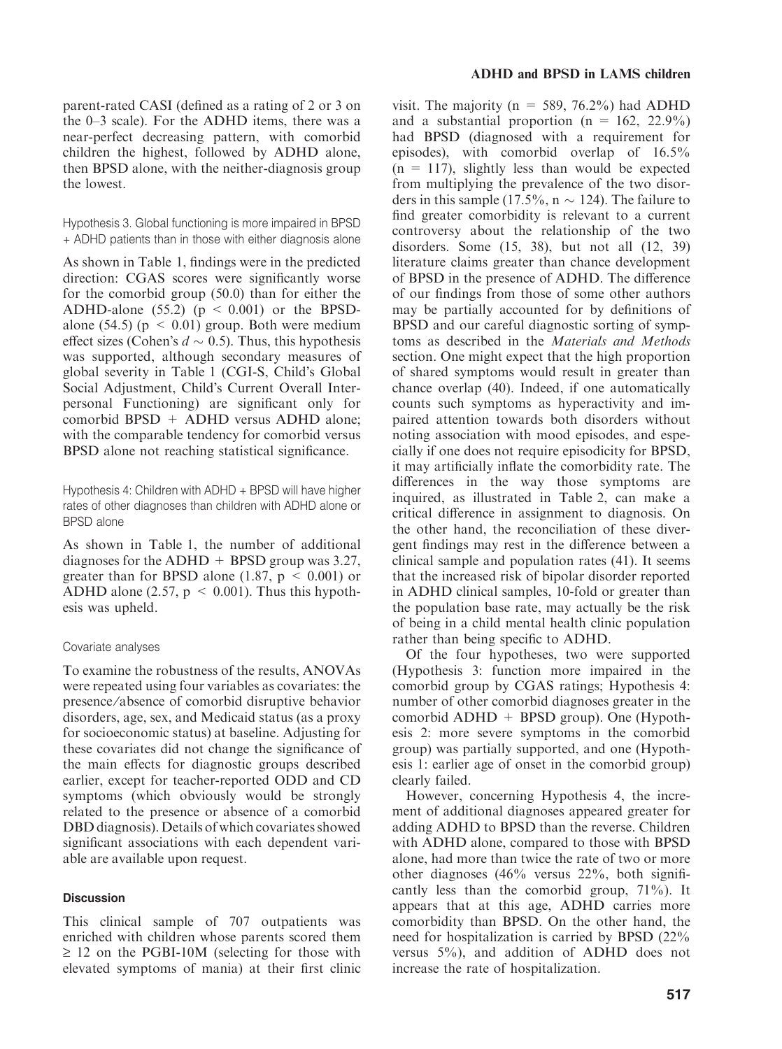parent-rated CASI (defined as a rating of 2 or 3 on the 0–3 scale). For the ADHD items, there was a near-perfect decreasing pattern, with comorbid children the highest, followed by ADHD alone, then BPSD alone, with the neither-diagnosis group the lowest.

Hypothesis 3. Global functioning is more impaired in BPSD + ADHD patients than in those with either diagnosis alone

As shown in Table 1, findings were in the predicted direction: CGAS scores were significantly worse for the comorbid group (50.0) than for either the ADHD-alone (55.2) ( $p < 0.001$ ) or the BPSDalone (54.5) ( $p \le 0.01$ ) group. Both were medium effect sizes (Cohen's  $d \sim 0.5$ ). Thus, this hypothesis was supported, although secondary measures of global severity in Table 1 (CGI-S, Child's Global Social Adjustment, Child's Current Overall Interpersonal Functioning) are significant only for comorbid BPSD + ADHD versus ADHD alone; with the comparable tendency for comorbid versus BPSD alone not reaching statistical significance.

Hypothesis 4: Children with ADHD + BPSD will have higher rates of other diagnoses than children with ADHD alone or BPSD alone

As shown in Table 1, the number of additional diagnoses for the ADHD  $+$  BPSD group was 3.27, greater than for BPSD alone  $(1.87, p \le 0.001)$  or ADHD alone (2.57,  $p \le 0.001$ ). Thus this hypothesis was upheld.

# Covariate analyses

To examine the robustness of the results, ANOVAs were repeated using four variables as covariates: the presence ⁄ absence of comorbid disruptive behavior disorders, age, sex, and Medicaid status (as a proxy for socioeconomic status) at baseline. Adjusting for these covariates did not change the significance of the main effects for diagnostic groups described earlier, except for teacher-reported ODD and CD symptoms (which obviously would be strongly related to the presence or absence of a comorbid DBD diagnosis). Details of which covariates showed significant associations with each dependent variable are available upon request.

# **Discussion**

This clinical sample of 707 outpatients was enriched with children whose parents scored them  $\geq 12$  on the PGBI-10M (selecting for those with elevated symptoms of mania) at their first clinic visit. The majority ( $n = 589, 76.2\%$ ) had ADHD and a substantial proportion  $(n = 162, 22.9%)$ had BPSD (diagnosed with a requirement for episodes), with comorbid overlap of 16.5%  $(n = 117)$ , slightly less than would be expected from multiplying the prevalence of the two disorders in this sample (17.5%,  $n \sim 124$ ). The failure to find greater comorbidity is relevant to a current controversy about the relationship of the two disorders. Some (15, 38), but not all (12, 39) literature claims greater than chance development of BPSD in the presence of ADHD. The difference of our findings from those of some other authors may be partially accounted for by definitions of BPSD and our careful diagnostic sorting of symptoms as described in the Materials and Methods section. One might expect that the high proportion of shared symptoms would result in greater than chance overlap (40). Indeed, if one automatically counts such symptoms as hyperactivity and impaired attention towards both disorders without noting association with mood episodes, and especially if one does not require episodicity for BPSD, it may artificially inflate the comorbidity rate. The differences in the way those symptoms are inquired, as illustrated in Table 2, can make a critical difference in assignment to diagnosis. On the other hand, the reconciliation of these divergent findings may rest in the difference between a clinical sample and population rates (41). It seems that the increased risk of bipolar disorder reported in ADHD clinical samples, 10-fold or greater than the population base rate, may actually be the risk of being in a child mental health clinic population rather than being specific to ADHD.

Of the four hypotheses, two were supported (Hypothesis 3: function more impaired in the comorbid group by CGAS ratings; Hypothesis 4: number of other comorbid diagnoses greater in the comorbid ADHD + BPSD group). One (Hypothesis 2: more severe symptoms in the comorbid group) was partially supported, and one (Hypothesis 1: earlier age of onset in the comorbid group) clearly failed.

However, concerning Hypothesis 4, the increment of additional diagnoses appeared greater for adding ADHD to BPSD than the reverse. Children with ADHD alone, compared to those with BPSD alone, had more than twice the rate of two or more other diagnoses (46% versus 22%, both significantly less than the comorbid group, 71%). It appears that at this age, ADHD carries more comorbidity than BPSD. On the other hand, the need for hospitalization is carried by BPSD (22% versus 5%), and addition of ADHD does not increase the rate of hospitalization.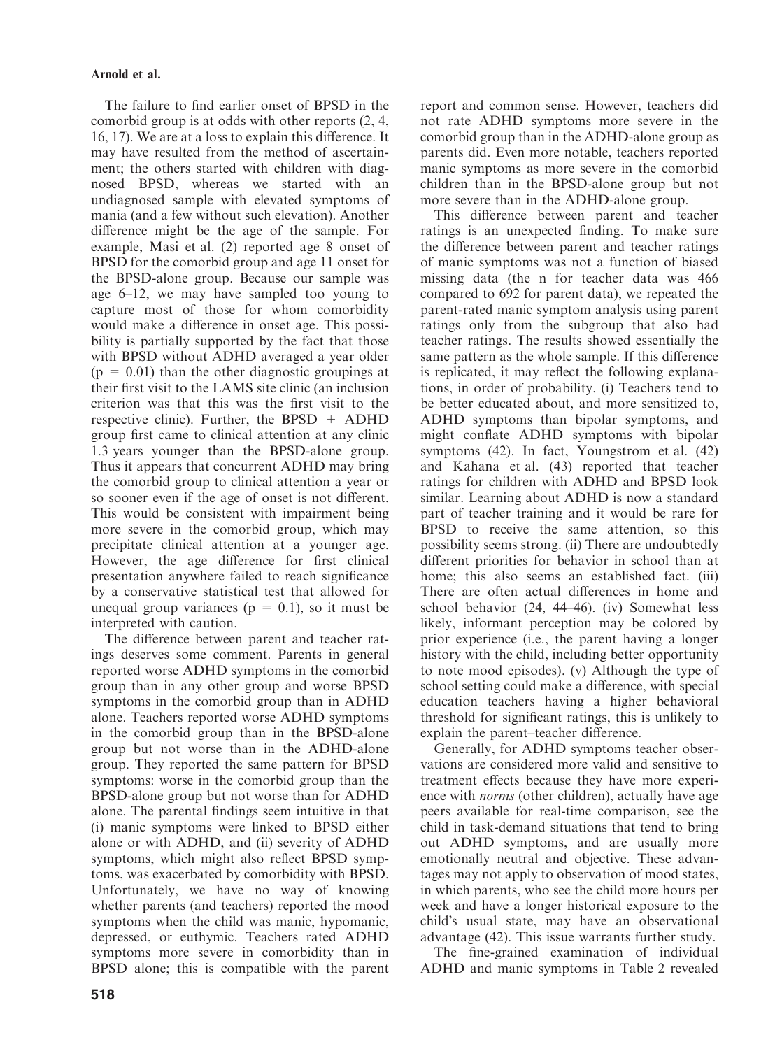The failure to find earlier onset of BPSD in the comorbid group is at odds with other reports (2, 4, 16, 17). We are at a loss to explain this difference. It may have resulted from the method of ascertainment; the others started with children with diagnosed BPSD, whereas we started with an undiagnosed sample with elevated symptoms of mania (and a few without such elevation). Another difference might be the age of the sample. For example, Masi et al. (2) reported age 8 onset of BPSD for the comorbid group and age 11 onset for the BPSD-alone group. Because our sample was age 6–12, we may have sampled too young to capture most of those for whom comorbidity would make a difference in onset age. This possibility is partially supported by the fact that those with BPSD without ADHD averaged a year older  $(p = 0.01)$  than the other diagnostic groupings at their first visit to the LAMS site clinic (an inclusion criterion was that this was the first visit to the respective clinic). Further, the BPSD  $+$  ADHD group first came to clinical attention at any clinic 1.3 years younger than the BPSD-alone group. Thus it appears that concurrent ADHD may bring the comorbid group to clinical attention a year or so sooner even if the age of onset is not different. This would be consistent with impairment being more severe in the comorbid group, which may precipitate clinical attention at a younger age. However, the age difference for first clinical presentation anywhere failed to reach significance by a conservative statistical test that allowed for unequal group variances ( $p = 0.1$ ), so it must be interpreted with caution.

The difference between parent and teacher ratings deserves some comment. Parents in general reported worse ADHD symptoms in the comorbid group than in any other group and worse BPSD symptoms in the comorbid group than in ADHD alone. Teachers reported worse ADHD symptoms in the comorbid group than in the BPSD-alone group but not worse than in the ADHD-alone group. They reported the same pattern for BPSD symptoms: worse in the comorbid group than the BPSD-alone group but not worse than for ADHD alone. The parental findings seem intuitive in that (i) manic symptoms were linked to BPSD either alone or with ADHD, and (ii) severity of ADHD symptoms, which might also reflect BPSD symptoms, was exacerbated by comorbidity with BPSD. Unfortunately, we have no way of knowing whether parents (and teachers) reported the mood symptoms when the child was manic, hypomanic, depressed, or euthymic. Teachers rated ADHD symptoms more severe in comorbidity than in BPSD alone; this is compatible with the parent report and common sense. However, teachers did not rate ADHD symptoms more severe in the comorbid group than in the ADHD-alone group as parents did. Even more notable, teachers reported manic symptoms as more severe in the comorbid children than in the BPSD-alone group but not more severe than in the ADHD-alone group.

This difference between parent and teacher ratings is an unexpected finding. To make sure the difference between parent and teacher ratings of manic symptoms was not a function of biased missing data (the n for teacher data was 466 compared to 692 for parent data), we repeated the parent-rated manic symptom analysis using parent ratings only from the subgroup that also had teacher ratings. The results showed essentially the same pattern as the whole sample. If this difference is replicated, it may reflect the following explanations, in order of probability. (i) Teachers tend to be better educated about, and more sensitized to, ADHD symptoms than bipolar symptoms, and might conflate ADHD symptoms with bipolar symptoms (42). In fact, Youngstrom et al. (42) and Kahana et al. (43) reported that teacher ratings for children with ADHD and BPSD look similar. Learning about ADHD is now a standard part of teacher training and it would be rare for BPSD to receive the same attention, so this possibility seems strong. (ii) There are undoubtedly different priorities for behavior in school than at home; this also seems an established fact. (iii) There are often actual differences in home and school behavior (24, 44–46). (iv) Somewhat less likely, informant perception may be colored by prior experience (i.e., the parent having a longer history with the child, including better opportunity to note mood episodes). (v) Although the type of school setting could make a difference, with special education teachers having a higher behavioral threshold for significant ratings, this is unlikely to explain the parent–teacher difference.

Generally, for ADHD symptoms teacher observations are considered more valid and sensitive to treatment effects because they have more experience with *norms* (other children), actually have age peers available for real-time comparison, see the child in task-demand situations that tend to bring out ADHD symptoms, and are usually more emotionally neutral and objective. These advantages may not apply to observation of mood states, in which parents, who see the child more hours per week and have a longer historical exposure to the child's usual state, may have an observational advantage (42). This issue warrants further study.

The fine-grained examination of individual ADHD and manic symptoms in Table 2 revealed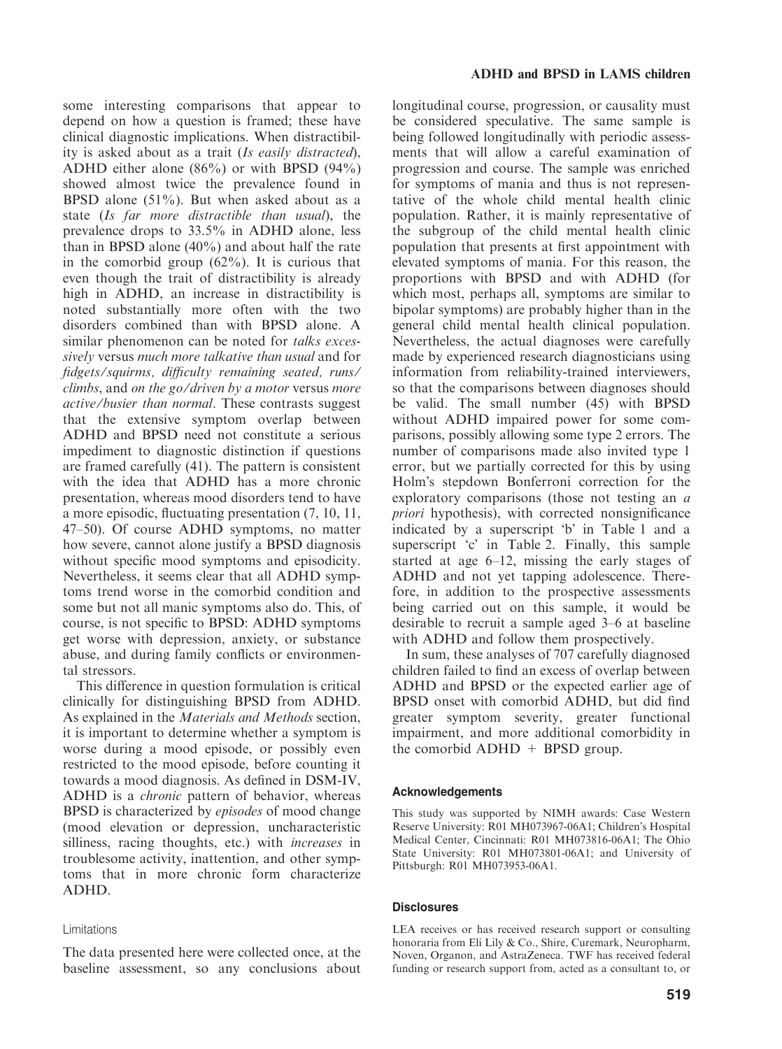some interesting comparisons that appear to depend on how a question is framed; these have clinical diagnostic implications. When distractibility is asked about as a trait (Is easily distracted), ADHD either alone (86%) or with BPSD (94%) showed almost twice the prevalence found in BPSD alone (51%). But when asked about as a state (Is far more distractible than usual), the prevalence drops to 33.5% in ADHD alone, less than in BPSD alone (40%) and about half the rate in the comorbid group  $(62\%)$ . It is curious that even though the trait of distractibility is already high in ADHD, an increase in distractibility is noted substantially more often with the two disorders combined than with BPSD alone. A similar phenomenon can be noted for talks excessively versus much more talkative than usual and for fidgets/squirms, difficulty remaining seated, runs/ climbs, and on the go/driven by a motor versus more active ⁄ busier than normal. These contrasts suggest that the extensive symptom overlap between ADHD and BPSD need not constitute a serious impediment to diagnostic distinction if questions are framed carefully (41). The pattern is consistent with the idea that ADHD has a more chronic presentation, whereas mood disorders tend to have a more episodic, fluctuating presentation (7, 10, 11, 47–50). Of course ADHD symptoms, no matter how severe, cannot alone justify a BPSD diagnosis without specific mood symptoms and episodicity. Nevertheless, it seems clear that all ADHD symptoms trend worse in the comorbid condition and some but not all manic symptoms also do. This, of course, is not specific to BPSD: ADHD symptoms get worse with depression, anxiety, or substance abuse, and during family conflicts or environmental stressors.

This difference in question formulation is critical clinically for distinguishing BPSD from ADHD. As explained in the Materials and Methods section, it is important to determine whether a symptom is worse during a mood episode, or possibly even restricted to the mood episode, before counting it towards a mood diagnosis. As defined in DSM-IV, ADHD is a chronic pattern of behavior, whereas BPSD is characterized by *episodes* of mood change (mood elevation or depression, uncharacteristic silliness, racing thoughts, etc.) with *increases* in troublesome activity, inattention, and other symptoms that in more chronic form characterize ADHD.

### Limitations

The data presented here were collected once, at the baseline assessment, so any conclusions about longitudinal course, progression, or causality must be considered speculative. The same sample is being followed longitudinally with periodic assessments that will allow a careful examination of progression and course. The sample was enriched for symptoms of mania and thus is not representative of the whole child mental health clinic population. Rather, it is mainly representative of the subgroup of the child mental health clinic population that presents at first appointment with elevated symptoms of mania. For this reason, the proportions with BPSD and with ADHD (for which most, perhaps all, symptoms are similar to bipolar symptoms) are probably higher than in the general child mental health clinical population. Nevertheless, the actual diagnoses were carefully made by experienced research diagnosticians using information from reliability-trained interviewers, so that the comparisons between diagnoses should be valid. The small number (45) with BPSD without ADHD impaired power for some comparisons, possibly allowing some type 2 errors. The number of comparisons made also invited type 1 error, but we partially corrected for this by using Holm's stepdown Bonferroni correction for the exploratory comparisons (those not testing an a priori hypothesis), with corrected nonsignificance indicated by a superscript 'b' in Table 1 and a superscript 'c' in Table 2. Finally, this sample started at age 6–12, missing the early stages of ADHD and not yet tapping adolescence. Therefore, in addition to the prospective assessments being carried out on this sample, it would be desirable to recruit a sample aged 3–6 at baseline with ADHD and follow them prospectively.

In sum, these analyses of 707 carefully diagnosed children failed to find an excess of overlap between ADHD and BPSD or the expected earlier age of BPSD onset with comorbid ADHD, but did find greater symptom severity, greater functional impairment, and more additional comorbidity in the comorbid  $ADHD + BPSD$  group.

#### Acknowledgements

This study was supported by NIMH awards: Case Western Reserve University: R01 MH073967-06A1; Children's Hospital Medical Center, Cincinnati: R01 MH073816-06A1; The Ohio State University: R01 MH073801-06A1; and University of Pittsburgh: R01 MH073953-06A1.

#### **Disclosures**

LEA receives or has received research support or consulting honoraria from Eli Lily & Co., Shire, Curemark, Neuropharm, Noven, Organon, and AstraZeneca. TWF has received federal funding or research support from, acted as a consultant to, or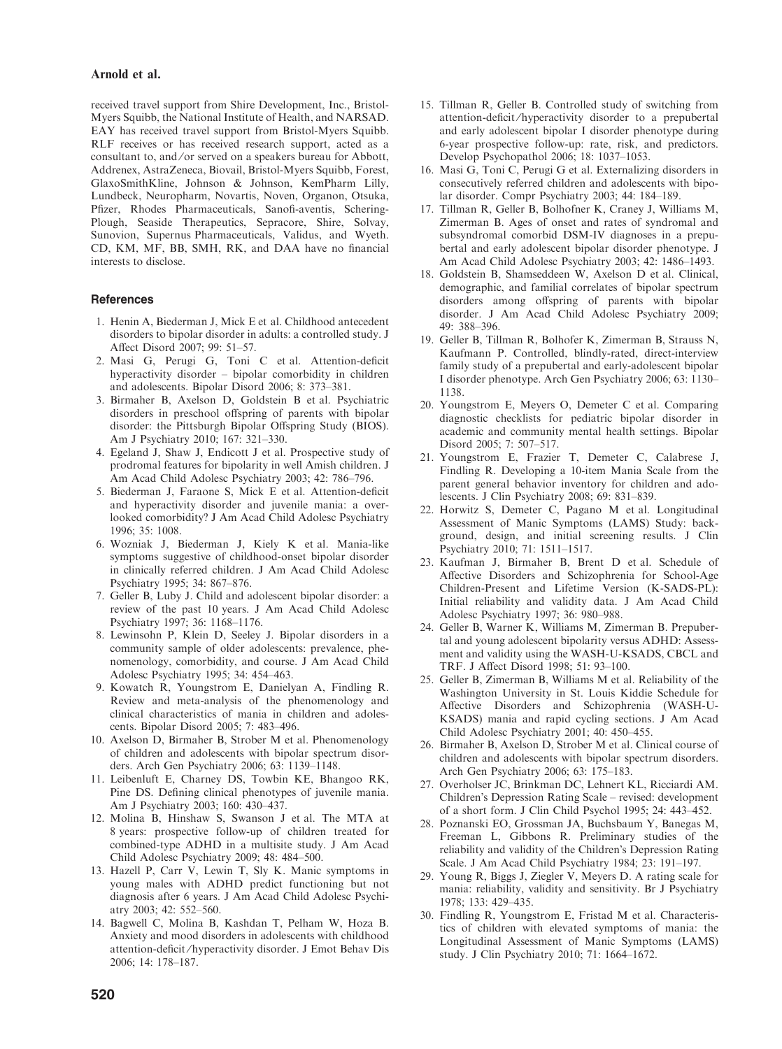received travel support from Shire Development, Inc., Bristol-Myers Squibb, the National Institute of Health, and NARSAD. EAY has received travel support from Bristol-Myers Squibb. RLF receives or has received research support, acted as a consultant to, and ⁄ or served on a speakers bureau for Abbott, Addrenex, AstraZeneca, Biovail, Bristol-Myers Squibb, Forest, GlaxoSmithKline, Johnson & Johnson, KemPharm Lilly, Lundbeck, Neuropharm, Novartis, Noven, Organon, Otsuka, Pfizer, Rhodes Pharmaceuticals, Sanofi-aventis, Schering-Plough, Seaside Therapeutics, Sepracore, Shire, Solvay, Sunovion, Supernus Pharmaceuticals, Validus, and Wyeth. CD, KM, MF, BB, SMH, RK, and DAA have no financial interests to disclose.

#### **References**

- 1. Henin A, Biederman J, Mick E et al. Childhood antecedent disorders to bipolar disorder in adults: a controlled study. J Affect Disord 2007; 99: 51–57.
- 2. Masi G, Perugi G, Toni C et al. Attention-deficit hyperactivity disorder – bipolar comorbidity in children and adolescents. Bipolar Disord 2006; 8: 373–381.
- 3. Birmaher B, Axelson D, Goldstein B et al. Psychiatric disorders in preschool offspring of parents with bipolar disorder: the Pittsburgh Bipolar Offspring Study (BIOS). Am J Psychiatry 2010; 167: 321–330.
- 4. Egeland J, Shaw J, Endicott J et al. Prospective study of prodromal features for bipolarity in well Amish children. J Am Acad Child Adolesc Psychiatry 2003; 42: 786–796.
- 5. Biederman J, Faraone S, Mick E et al. Attention-deficit and hyperactivity disorder and juvenile mania: a overlooked comorbidity? J Am Acad Child Adolesc Psychiatry 1996; 35: 1008.
- 6. Wozniak J, Biederman J, Kiely K et al. Mania-like symptoms suggestive of childhood-onset bipolar disorder in clinically referred children. J Am Acad Child Adolesc Psychiatry 1995; 34: 867–876.
- 7. Geller B, Luby J. Child and adolescent bipolar disorder: a review of the past 10 years. J Am Acad Child Adolesc Psychiatry 1997; 36: 1168–1176.
- 8. Lewinsohn P, Klein D, Seeley J. Bipolar disorders in a community sample of older adolescents: prevalence, phenomenology, comorbidity, and course. J Am Acad Child Adolesc Psychiatry 1995; 34: 454–463.
- 9. Kowatch R, Youngstrom E, Danielyan A, Findling R. Review and meta-analysis of the phenomenology and clinical characteristics of mania in children and adolescents. Bipolar Disord 2005; 7: 483–496.
- 10. Axelson D, Birmaher B, Strober M et al. Phenomenology of children and adolescents with bipolar spectrum disorders. Arch Gen Psychiatry 2006; 63: 1139–1148.
- 11. Leibenluft E, Charney DS, Towbin KE, Bhangoo RK, Pine DS. Defining clinical phenotypes of juvenile mania. Am J Psychiatry 2003; 160: 430–437.
- 12. Molina B, Hinshaw S, Swanson J et al. The MTA at 8 years: prospective follow-up of children treated for combined-type ADHD in a multisite study. J Am Acad Child Adolesc Psychiatry 2009; 48: 484–500.
- 13. Hazell P, Carr V, Lewin T, Sly K. Manic symptoms in young males with ADHD predict functioning but not diagnosis after 6 years. J Am Acad Child Adolesc Psychiatry 2003; 42: 552–560.
- 14. Bagwell C, Molina B, Kashdan T, Pelham W, Hoza B. Anxiety and mood disorders in adolescents with childhood attention-deficit ⁄ hyperactivity disorder. J Emot Behav Dis 2006; 14: 178–187.
- 15. Tillman R, Geller B. Controlled study of switching from attention-deficit ⁄ hyperactivity disorder to a prepubertal and early adolescent bipolar I disorder phenotype during 6-year prospective follow-up: rate, risk, and predictors. Develop Psychopathol 2006; 18: 1037–1053.
- 16. Masi G, Toni C, Perugi G et al. Externalizing disorders in consecutively referred children and adolescents with bipolar disorder. Compr Psychiatry 2003; 44: 184–189.
- 17. Tillman R, Geller B, Bolhofner K, Craney J, Williams M, Zimerman B. Ages of onset and rates of syndromal and subsyndromal comorbid DSM-IV diagnoses in a prepubertal and early adolescent bipolar disorder phenotype. J Am Acad Child Adolesc Psychiatry 2003; 42: 1486–1493.
- 18. Goldstein B, Shamseddeen W, Axelson D et al. Clinical, demographic, and familial correlates of bipolar spectrum disorders among offspring of parents with bipolar disorder. J Am Acad Child Adolesc Psychiatry 2009; 49: 388–396.
- 19. Geller B, Tillman R, Bolhofer K, Zimerman B, Strauss N, Kaufmann P. Controlled, blindly-rated, direct-interview family study of a prepubertal and early-adolescent bipolar I disorder phenotype. Arch Gen Psychiatry 2006; 63: 1130– 1138.
- 20. Youngstrom E, Meyers O, Demeter C et al. Comparing diagnostic checklists for pediatric bipolar disorder in academic and community mental health settings. Bipolar Disord 2005; 7: 507–517.
- 21. Youngstrom E, Frazier T, Demeter C, Calabrese J, Findling R. Developing a 10-item Mania Scale from the parent general behavior inventory for children and adolescents. J Clin Psychiatry 2008; 69: 831–839.
- 22. Horwitz S, Demeter C, Pagano M et al. Longitudinal Assessment of Manic Symptoms (LAMS) Study: background, design, and initial screening results. J Clin Psychiatry 2010; 71: 1511–1517.
- 23. Kaufman J, Birmaher B, Brent D et al. Schedule of Affective Disorders and Schizophrenia for School-Age Children-Present and Lifetime Version (K-SADS-PL): Initial reliability and validity data. J Am Acad Child Adolesc Psychiatry 1997; 36: 980–988.
- 24. Geller B, Warner K, Williams M, Zimerman B. Prepubertal and young adolescent bipolarity versus ADHD: Assessment and validity using the WASH-U-KSADS, CBCL and TRF. J Affect Disord 1998; 51: 93–100.
- 25. Geller B, Zimerman B, Williams M et al. Reliability of the Washington University in St. Louis Kiddie Schedule for Affective Disorders and Schizophrenia (WASH-U-KSADS) mania and rapid cycling sections. J Am Acad Child Adolesc Psychiatry 2001; 40: 450–455.
- 26. Birmaher B, Axelson D, Strober M et al. Clinical course of children and adolescents with bipolar spectrum disorders. Arch Gen Psychiatry 2006; 63: 175–183.
- 27. Overholser JC, Brinkman DC, Lehnert KL, Ricciardi AM. Children's Depression Rating Scale – revised: development of a short form. J Clin Child Psychol 1995; 24: 443–452.
- 28. Poznanski EO, Grossman JA, Buchsbaum Y, Banegas M, Freeman L, Gibbons R. Preliminary studies of the reliability and validity of the Children's Depression Rating Scale. J Am Acad Child Psychiatry 1984; 23: 191–197.
- 29. Young R, Biggs J, Ziegler V, Meyers D. A rating scale for mania: reliability, validity and sensitivity. Br J Psychiatry 1978; 133: 429–435.
- 30. Findling R, Youngstrom E, Fristad M et al. Characteristics of children with elevated symptoms of mania: the Longitudinal Assessment of Manic Symptoms (LAMS) study. J Clin Psychiatry 2010; 71: 1664–1672.